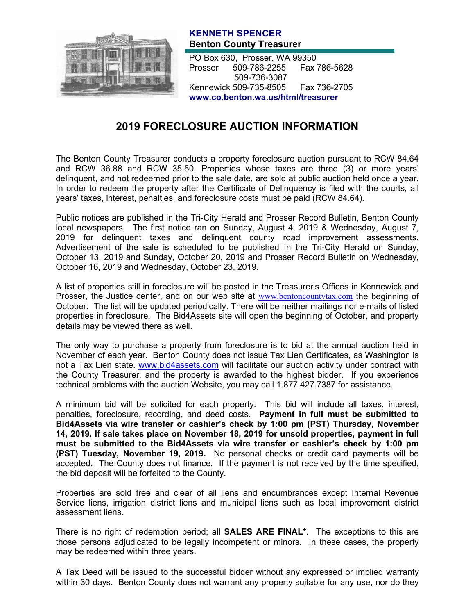

## **KENNETH SPENCER Benton County Treasurer**

PO Box 630, Prosser, WA 99350 Prosser 509-786-2255 Fax 786-5628 509-736-3087 Kennewick 509-735-8505 Fax 736-2705 **www.co.benton.wa.us/html/treasurer**

## **2019 FORECLOSURE AUCTION INFORMATION**

The Benton County Treasurer conducts a property foreclosure auction pursuant to RCW 84.64 and RCW 36.88 and RCW 35.50. Properties whose taxes are three (3) or more years' delinquent, and not redeemed prior to the sale date, are sold at public auction held once a year. In order to redeem the property after the Certificate of Delinquency is filed with the courts, all years' taxes, interest, penalties, and foreclosure costs must be paid (RCW 84.64).

Public notices are published in the Tri-City Herald and Prosser Record Bulletin, Benton County local newspapers. The first notice ran on Sunday, August 4, 2019 & Wednesday, August 7, 2019 for delinquent taxes and delinquent county road improvement assessments. Advertisement of the sale is scheduled to be published In the Tri-City Herald on Sunday, October 13, 2019 and Sunday, October 20, 2019 and Prosser Record Bulletin on Wednesday, October 16, 2019 and Wednesday, October 23, 2019.

A list of properties still in foreclosure will be posted in the Treasurer's Offices in Kennewick and Prosser, the Justice center, and on our web site at [www.bentoncountytax.com](http://www.bentoncountytax.com/) the beginning of October. The list will be updated periodically. There will be neither mailings nor e-mails of listed properties in foreclosure. The Bid4Assets site will open the beginning of October, and property details may be viewed there as well.

The only way to purchase a property from foreclosure is to bid at the annual auction held in November of each year. Benton County does not issue Tax Lien Certificates, as Washington is not a Tax Lien state. [www.bid4assets.com](http://www.bid4assets.com/) will facilitate our auction activity under contract with the County Treasurer, and the property is awarded to the highest bidder. If you experience technical problems with the auction Website, you may call 1.877.427.7387 for assistance.

A minimum bid will be solicited for each property. This bid will include all taxes, interest, penalties, foreclosure, recording, and deed costs. **Payment in full must be submitted to Bid4Assets via wire transfer or cashier's check by 1:00 pm (PST) Thursday, November 14, 2019. If sale takes place on November 18, 2019 for unsold properties, payment in full must be submitted to the Bid4Assets via wire transfer or cashier's check by 1:00 pm (PST) Tuesday, November 19, 2019.** No personal checks or credit card payments will be accepted. The County does not finance. If the payment is not received by the time specified, the bid deposit will be forfeited to the County.

Properties are sold free and clear of all liens and encumbrances except Internal Revenue Service liens, irrigation district liens and municipal liens such as local improvement district assessment liens.

There is no right of redemption period; all **SALES ARE FINAL\***. The exceptions to this are those persons adjudicated to be legally incompetent or minors. In these cases, the property may be redeemed within three years.

A Tax Deed will be issued to the successful bidder without any expressed or implied warranty within 30 days. Benton County does not warrant any property suitable for any use, nor do they